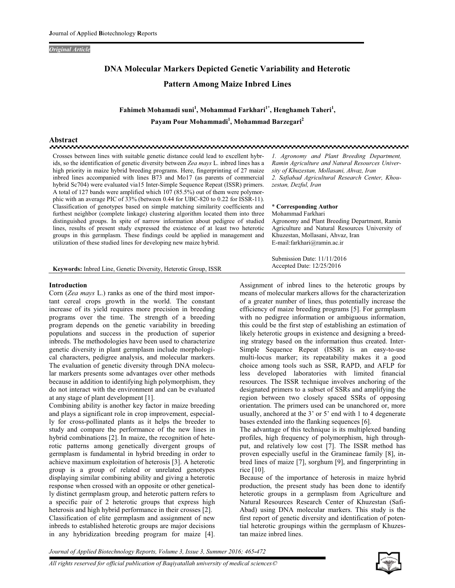## **Original Article**

# DNA Molecular Markers Depicted Genetic Variability and Heterotic **Pattern Among Maize Inbred Lines**

Fahimeh Mohamadi suni<sup>1</sup>, Mohammad Farkhari<sup>1\*</sup>, Henghameh Taheri<sup>1</sup>, Payam Pour Mohammadi<sup>1</sup>, Mohammad Barzegari<sup>2</sup>

## Abstract

Crosses between lines with suitable genetic distance could lead to excellent hybrids, so the identification of genetic diversity between Zea mays L. inbred lines has a high priority in maize hybrid breeding programs. Here, fingerprinting of 27 maize inbred lines accompanied with lines B73 and Mo17 (as parents of commercial hybrid Sc704) were evaluated via15 Inter-Simple Sequence Repeat (ISSR) primers. A total of 127 bands were amplified which 107 (85.5%) out of them were polymorphic with an average PIC of 33% (between 0.44 for UBC-820 to 0.22 for ISSR-11). Classification of genotypes based on simple matching similarity coefficients and furthest neighbor (complete linkage) clustering algorithm located them into three distinguished groups. In spite of narrow information about pedigree of studied lines, results of present study expressed the existence of at least two heterotic groups in this germplasm. These findings could be applied in management and utilization of these studied lines for developing new maize hybrid.

1. Agronomy and Plant Breeding Department, Ramin Agriculture and Natural Resources University of Khuzestan, Mollasani, Ahvaz, Iran 2. Safiabad Agricultural Research Center, Khouzestan, Dezful, Iran

#### \* Corresponding Author Mohammad Farkhari

Submission Date: 11/11/2016 Accepted Date: 12/25/2016

Agronomy and Plant Breeding Department, Ramin Agriculture and Natural Resources University of Khuzestan, Mollasani, Ahvaz, Iran E-mail:farkhari@ramin.ac.ir

Keywords: Inbred Line, Genetic Diversity, Heterotic Group, ISSR

## **Introduction**

Corn (Zea mays L.) ranks as one of the third most important cereal crops growth in the world. The constant increase of its yield requires more precision in breeding programs over the time. The strength of a breeding program depends on the genetic variability in breeding populations and success in the production of superior inbreds. The methodologies have been used to characterize genetic diversity in plant germplasm include morphological characters, pedigree analysis, and molecular markers. The evaluation of genetic diversity through DNA molecular markers presents some advantages over other methods because in addition to identifying high polymorphism, they do not interact with the environment and can be evaluated at any stage of plant development [1].

Combining ability is another key factor in maize breeding and plays a significant role in crop improvement, especially for cross-pollinated plants as it helps the breeder to study and compare the performance of the new lines in hybrid combinations [2]. In maize, the recognition of heterotic patterns among genetically divergent groups of germplasm is fundamental in hybrid breeding in order to achieve maximum exploitation of heterosis [3]. A heterotic group is a group of related or unrelated genotypes displaying similar combining ability and giving a heterotic response when crossed with an opposite or other genetically distinct germplasm group, and heterotic pattern refers to a specific pair of 2 heterotic groups that express high heterosis and high hybrid performance in their crosses [2]. Classification of elite germplasm and assignment of new inbreds to established heterotic groups are major decisions in any hybridization breeding program for maize [4].

Assignment of inbred lines to the heterotic groups by means of molecular markers allows for the characterization of a greater number of lines, thus potentially increase the efficiency of maize breeding programs [5]. For germplasm with no pedigree information or ambiguous information, this could be the first step of establishing an estimation of likely heterotic groups in existence and designing a breeding strategy based on the information thus created. Inter-Simple Sequence Repeat (ISSR) is an easy-to-use multi-locus marker; its repeatability makes it a good choice among tools such as SSR, RAPD, and AFLP for less developed laboratories with limited financial resources. The ISSR technique involves anchoring of the designated primers to a subset of SSRs and amplifying the region between two closely spaced SSRs of opposing orientation. The primers used can be unanchored or, more usually, anchored at the 3' or 5' end with 1 to 4 degenerate bases extended into the flanking sequences [6].

The advantage of this technique is its multiplexed banding profiles, high frequency of polymorphism, high throughput, and relatively low cost [7]. The ISSR method has proven especially useful in the Gramineae family [8], inbred lines of maize [7], sorghum [9], and fingerprinting in rice [10].

Because of the importance of heterosis in maize hybrid production, the present study has been done to identify heterotic groups in a germplasm from Agriculture and Natural Resources Research Center of Khuzestan (Safi-Abad) using DNA molecular markers. This study is the first report of genetic diversity and identification of potential heterotic groupings within the germplasm of Khuzestan maize inbred lines.

Journal of Applied Biotechnology Reports, Volume 3, Issue 3, Summer 2016; 465-472

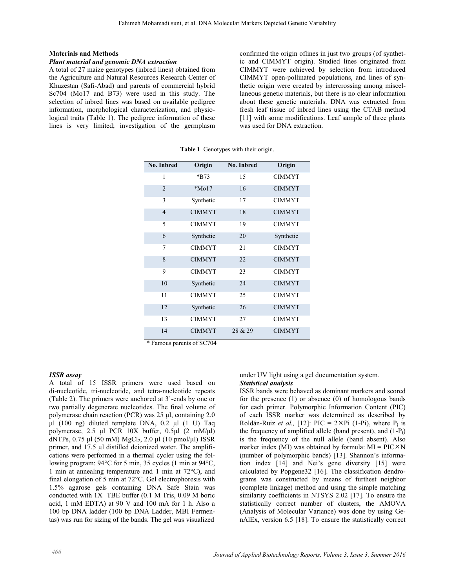## **Materials and Methods**

# Plant material and genomic DNA extraction

A total of 27 maize genotypes (inbred lines) obtained from the Agriculture and Natural Resources Research Center of Khuzestan (Safi-Abad) and parents of commercial hybrid Sc704 (Mo17 and B73) were used in this study. The selection of inbred lines was based on available pedigree information, morphological characterization, and physiological traits (Table 1). The pedigree information of these lines is very limited; investigation of the germplasm confirmed the origin oflines in just two groups (of synthetic and CIMMYT origin). Studied lines originated from CIMMYT were achieved by selection from introduced CIMMYT open-pollinated populations, and lines of synthetic origin were created by intercrossing among miscellaneous genetic materials, but there is no clear information about these genetic materials. DNA was extracted from fresh leaf tissue of inbred lines using the CTAB method [11] with some modifications. Leaf sample of three plants was used for DNA extraction.

| No. Inbred     | Origin               | No. Inbred | Origin        |
|----------------|----------------------|------------|---------------|
| 1              | *B73                 | 15         | <b>CIMMYT</b> |
| $\overline{2}$ | $*$ Mo <sub>17</sub> | 16         | <b>CIMMYT</b> |
| 3              | Synthetic            | 17         | <b>CIMMYT</b> |
| $\overline{4}$ | <b>CIMMYT</b>        | 18         | <b>CIMMYT</b> |
| 5              | <b>CIMMYT</b>        | 19         | <b>CIMMYT</b> |
| 6              | Synthetic            | 20         | Synthetic     |
| 7              | <b>CIMMYT</b>        | 21         | <b>CIMMYT</b> |
| 8              | <b>CIMMYT</b>        | 22         | <b>CIMMYT</b> |
| 9              | <b>CIMMYT</b>        | 23         | <b>CIMMYT</b> |
| 10             | Synthetic            | 24         | <b>CIMMYT</b> |
| 11             | <b>CIMMYT</b>        | 25         | <b>CIMMYT</b> |
| 12             | Synthetic            | 26         | <b>CIMMYT</b> |
| 13             | <b>CIMMYT</b>        | 27         | <b>CIMMYT</b> |
| 14             | <b>CIMMYT</b>        | 28 & 29    | <b>CIMMYT</b> |

Table 1. Genotypes with their origin.

\* Famous parents of SC704

#### **ISSR** assay

A total of 15 ISSR primers were used based on di-nucleotide, tri-nucleotide, and tetra-nucleotide repeats (Table 2). The primers were anchored at 3'-ends by one or two partially degenerate nucleotides. The final volume of polymerase chain reaction (PCR) was 25 µl, containing 2.0  $\mu$ l (100 ng) diluted template DNA, 0.2  $\mu$ l (1 U) Taq polymerase, 2.5 µl PCR 10X buffer, 0.5µl (2 mM/µl) dNTPs,  $0.75 \mu$ l (50 mM) MgCl<sub>2</sub>, 2.0  $\mu$ l (10 pmol/ $\mu$ l) ISSR primer, and 17.5 µl distilled deionized water. The amplifications were performed in a thermal cycler using the following program: 94°C for 5 min, 35 cycles (1 min at 94°C, 1 min at annealing temperature and 1 min at  $72^{\circ}$ C), and final elongation of 5 min at  $72^{\circ}$ C. Gel electrophoresis with 1.5% agarose gels containing DNA Safe Stain was conducted with 1X TBE buffer (0.1 M Tris, 0.09 M boric acid, 1 mM EDTA) at 90 V and 100 mA for 1 h. Also a 100 bp DNA ladder (100 bp DNA Ladder, MBI Fermentas) was run for sizing of the bands. The gel was visualized

under UV light using a gel documentation system. **Statistical analysis** 

ISSR bands were behaved as dominant markers and scored for the presence  $(1)$  or absence  $(0)$  of homologous bands for each primer. Polymorphic Information Content (PIC) of each ISSR marker was determined as described by Roldán-Ruiz et al., [12]: PIC =  $2 \times$ Pi (1-Pi), where P<sub>i</sub> is the frequency of amplified allele (band present), and  $(1-P_i)$ is the frequency of the null allele (band absent). Also marker index (MI) was obtained by formula:  $MI = PIC \times N$ (number of polymorphic bands) [13]. Shannon's information index [14] and Nei's gene diversity [15] were calculated by Popgene32 [16]. The classification dendrograms was constructed by means of furthest neighbor (complete linkage) method and using the simple matching similarity coefficients in NTSYS 2.02 [17]. To ensure the statistically correct number of clusters, the AMOVA (Analysis of Molecular Variance) was done by using GenAlEx, version 6.5 [18]. To ensure the statistically correct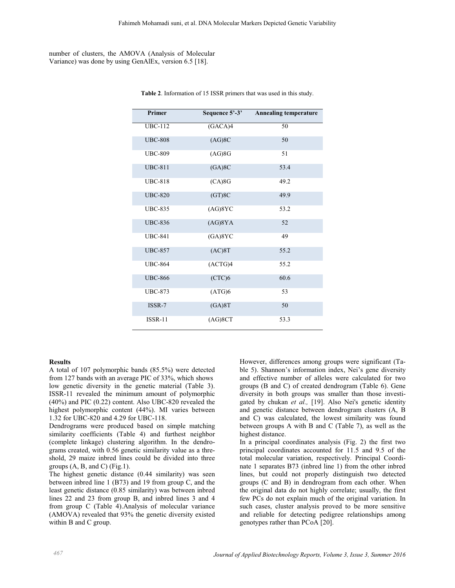# number of clusters, the AMOVA (Analysis of Molecular Variance) was done by using GenAlEx, version 6.5 [18].

| Primer         | Sequence 5'-3' | <b>Annealing temperature</b> |
|----------------|----------------|------------------------------|
| <b>UBC-112</b> | (GACA)4        | 50                           |
| <b>UBC-808</b> | (AG)8C         | 50                           |
| <b>UBC-809</b> | $(AG)$ 8G      | 51                           |
| <b>UBC-811</b> | (GA)8C         | 53.4                         |
| <b>UBC-818</b> | $(CA)$ 8G      | 49.2                         |
| <b>UBC-820</b> | (GT)8C         | 49.9                         |
| <b>UBC-835</b> | (AG)8YC        | 53.2                         |
| <b>UBC-836</b> | (AG)8YA        | 52                           |
| <b>UBC-841</b> | (GA)8YC        | 49                           |
| <b>UBC-857</b> | (AC)8T         | 55.2                         |
| <b>UBC-864</b> | (ACTG)4        | 55.2                         |
| <b>UBC-866</b> | (CTC)6         | 60.6                         |
| <b>UBC-873</b> | (ATG)6         | 53                           |
| ISSR-7         | (GA)8T         | 50                           |
| <b>ISSR-11</b> | (AG)8CT        | 53.3                         |

Table 2. Information of 15 ISSR primers that was used in this study.

## **Results**

A total of 107 polymorphic bands (85.5%) were detected from 127 bands with an average PIC of 33%, which shows low genetic diversity in the genetic material (Table 3). ISSR-11 revealed the minimum amount of polymorphic  $(40\%)$  and PIC  $(0.22)$  content. Also UBC-820 revealed the highest polymorphic content (44%). MI varies between 1.32 for UBC-820 and 4.29 for UBC-118.

Dendrograms were produced based on simple matching similarity coefficients (Table 4) and furthest neighbor (complete linkage) clustering algorithm. In the dendrograms created, with 0.56 genetic similarity value as a threshold, 29 maize inbred lines could be divided into three groups  $(A, B, and C)$  (Fig.1).

The highest genetic distance (0.44 similarity) was seen between inbred line 1 (B73) and 19 from group C, and the least genetic distance (0.85 similarity) was between inbred lines 22 and 23 from group B, and inbred lines 3 and 4 from group C (Table 4). Analysis of molecular variance (AMOVA) revealed that 93% the genetic diversity existed within B and C group.

However, differences among groups were significant (Table 5). Shannon's information index, Nei's gene diversity and effective number of alleles were calculated for two groups (B and C) of created dendrogram (Table 6). Gene diversity in both groups was smaller than those investigated by chukan et al., [19]. Also Nei's genetic identity and genetic distance between dendrogram clusters (A, B) and C) was calculated, the lowest similarity was found between groups A with B and C (Table 7), as well as the highest distance.

In a principal coordinates analysis (Fig. 2) the first two principal coordinates accounted for 11.5 and 9.5 of the total molecular variation, respectively. Principal Coordinate 1 separates B73 (inbred line 1) from the other inbred lines, but could not properly distinguish two detected groups (C and B) in dendrogram from each other. When the original data do not highly correlate; usually, the first few PCs do not explain much of the original variation. In such cases, cluster analysis proved to be more sensitive and reliable for detecting pedigree relationships among genotypes rather than PCoA [20].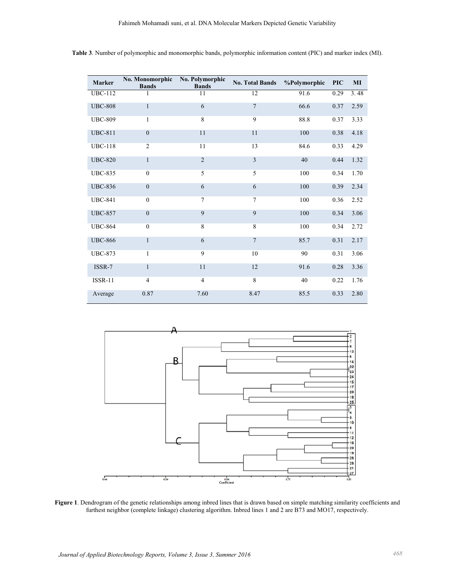| Marker         | No. Monomorphic<br><b>Bands</b> | No. Polymorphic<br><b>Bands</b> | <b>No. Total Bands</b> | %Polymorphic | <b>PIC</b> | MI   |
|----------------|---------------------------------|---------------------------------|------------------------|--------------|------------|------|
| <b>UBC-112</b> | 1                               | 11                              | 12                     | 91.6         | 0.29       | 3.48 |
| <b>UBC-808</b> | $\mathbf{1}$                    | 6                               | 7                      | 66.6         | 0.37       | 2.59 |
| <b>UBC-809</b> | 1                               | $\overline{8}$                  | 9                      | 88.8         | 0.37       | 3.33 |
| <b>UBC-811</b> | $\mathbf{0}$                    | 11                              | 11                     | 100          | 0.38       | 4.18 |
| <b>UBC-118</b> | $\overline{2}$                  | 11                              | 13                     | 84.6         | 0.33       | 4.29 |
| <b>UBC-820</b> | $\mathbf{1}$                    | $\overline{2}$                  | 3                      | 40           | 0.44       | 1.32 |
| <b>UBC-835</b> | $\mathbf{0}$                    | 5                               | 5                      | 100          | 0.34       | 1.70 |
| <b>UBC-836</b> | $\mathbf{0}$                    | 6                               | 6                      | 100          | 0.39       | 2.34 |
| <b>UBC-841</b> | $\mathbf{0}$                    | 7                               | 7                      | 100          | 0.36       | 2.52 |
| <b>UBC-857</b> | $\mathbf{0}$                    | 9                               | 9                      | 100          | 0.34       | 3.06 |
| <b>UBC-864</b> | $\mathbf{0}$                    | 8                               | 8                      | 100          | 0.34       | 2.72 |
| <b>UBC-866</b> | $\mathbf{1}$                    | 6                               | $\overline{7}$         | 85.7         | 0.31       | 2.17 |
| <b>UBC-873</b> | $\mathbf{1}$                    | 9                               | 10                     | 90           | 0.31       | 3.06 |
| ISSR-7         | $\mathbf{1}$                    | 11                              | 12                     | 91.6         | 0.28       | 3.36 |
| <b>ISSR-11</b> | $\overline{4}$                  | $\overline{4}$                  | $\overline{8}$         | 40           | 0.22       | 1.76 |
| Average        | 0.87                            | 7.60                            | 8.47                   | 85.5         | 0.33       | 2.80 |

Table 3. Number of polymorphic and monomorphic bands, polymorphic information content (PIC) and marker index (MI).



Figure 1. Dendrogram of the genetic relationships among inbred lines that is drawn based on simple matching similarity coefficients and furthest neighbor (complete linkage) clustering algorithm. Inbred lines 1 and 2 are B73 and MO17, respectively.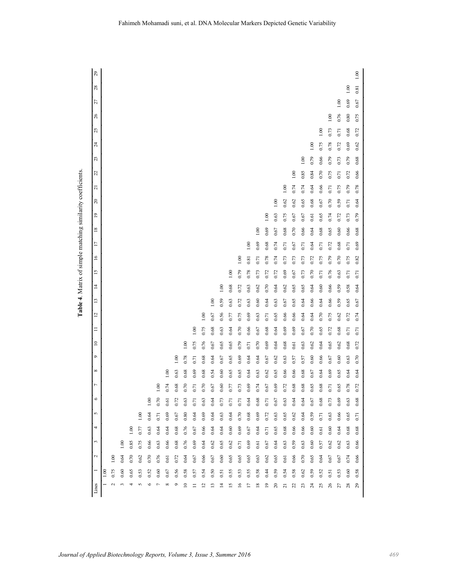| í<br>í<br>I                                                      |
|------------------------------------------------------------------|
| ì<br>l<br>l<br>l<br>ı<br>I                                       |
| l<br>í<br>۱<br>í<br>ī<br>۱<br>í<br>ı<br>I<br>$\overline{a}$<br>í |
| ı<br>ı<br>í<br>֚<br>l<br>i                                       |
| ۱<br>í                                                           |
|                                                                  |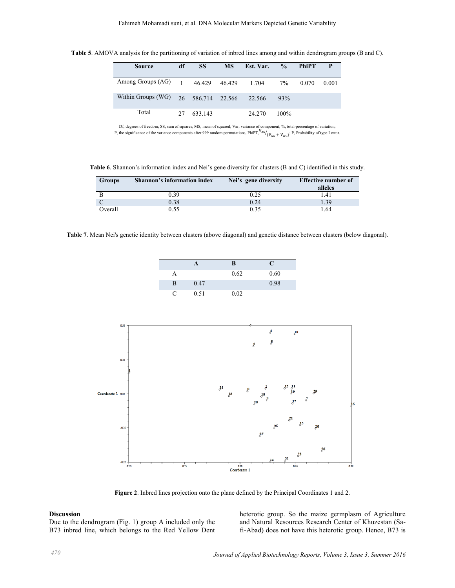| <b>Source</b>                | df | <b>SS</b>         | <b>MS</b> | Est. Var. | $\frac{0}{2}$ | <b>PhiPT</b> | <b>P</b> |
|------------------------------|----|-------------------|-----------|-----------|---------------|--------------|----------|
| Among Groups $(AG)$ 1 46.429 |    |                   | 46.429    | 1.704     | $7\%$         | 0.070        | 0.001    |
| Within Groups (WG)           |    | 26 586.714 22.566 |           | 22.566    | 93%           |              |          |
| Total                        | 27 | 633.143           |           | 24.270    | $100\%$       |              |          |

Table 5. AMOVA analysis for the partitioning of variation of inbred lines among and within dendrogram groups (B and C).

Df, degrees of freedom; SS, sum of squares; MS, mean of squared; Var, variance of component; %, total-percentage of variation;<br>P, the significance of the variance components after 999 random permutations, PhiPT,  $\frac{V_{AG}}{$ 

Table 6. Shannon's information index and Nei's gene diversity for clusters (B and C) identified in this study.

| <b>Groups</b> | Shannon's information index | Nei's gene diversity | <b>Effective number of</b> |
|---------------|-----------------------------|----------------------|----------------------------|
|               |                             |                      | alleles                    |
|               | 0.39                        | 0.25                 | 1.41                       |
|               | 0.38                        | 0.24                 | 1.39                       |
| Overall       | 0.55                        | 0.35                 | 64                         |

Table 7. Mean Nei's genetic identity between clusters (above diagonal) and genetic distance between clusters (below diagonal).

|          |      | в    | C    |
|----------|------|------|------|
| A        |      | 0.62 | 0.60 |
| B        | 0.47 |      | 0.98 |
| $\Gamma$ | 0.51 | 0.02 |      |



Figure 2. Inbred lines projection onto the plane defined by the Principal Coordinates 1 and 2.

#### **Discussion**

Due to the dendrogram (Fig. 1) group A included only the B73 inbred line, which belongs to the Red Yellow Dent heterotic group. So the maize germplasm of Agriculture and Natural Resources Research Center of Khuzestan (Safi-Abad) does not have this heterotic group. Hence, B73 is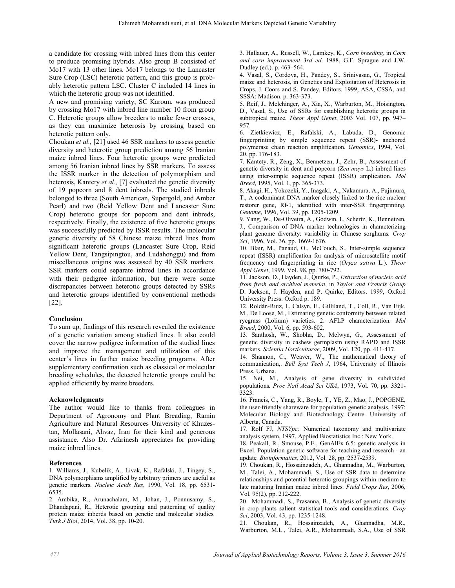a candidate for crossing with inbred lines from this center to produce promising hybrids. Also group B consisted of Mo17 with 13 other lines. Mo17 belongs to the Lancaster Sure Crop (LSC) heterotic pattern, and this group is probably heterotic pattern LSC. Cluster C included 14 lines in which the heterotic group was not identified.

A new and promising variety, SC Karoun, was produced by crossing Mo17 with inbred line number 10 from group C. Heterotic groups allow breeders to make fewer crosses, as they can maximize heterosis by crossing based on heterotic pattern only.

Choukan et al., [21] used 46 SSR markers to assess genetic diversity and heterotic group prediction among 56 Iranian maize inbred lines. Four heterotic groups were predicted among 56 Iranian inbred lines by SSR markers. To assess the ISSR marker in the detection of polymorphism and heterosis, Kantety et al., [7] evaluated the genetic diversity of 19 popcorn and 8 dent inbreds. The studied inbreds belonged to three (South American, Supergold, and Amber Pearl) and two (Reid Yellow Dent and Lancaster Sure Crop) heterotic groups for popcorn and dent inbreds, respectively. Finally, the existence of five heterotic groups was successfully predicted by ISSR results. The molecular genetic diversity of 58 Chinese maize inbred lines from significant heterotic groups (Lancaster Sure Crop, Reid Yellow Dent, Tangsipingtou, and Ludahonggu) and from miscellaneous origins was assessed by 40 SSR markers. SSR markers could separate inbred lines in accordance with their pedigree information, but there were some discrepancies between heterotic groups detected by SSRs and heterotic groups identified by conventional methods  $[22]$ .

# Conclusion

To sum up, findings of this research revealed the existence of a genetic variation among studied lines. It also could cover the narrow pedigree information of the studied lines and improve the management and utilization of this center's lines in further maize breeding programs. After supplementary confirmation such as classical or molecular breeding schedules, the detected heterotic groups could be applied efficiently by maize breeders.

# **Acknowledgments**

The author would like to thanks from colleagues in Department of Agronomy and Plant Breading, Ramin Agriculture and Natural Resources University of Khuzestan, Mollasani, Ahvaz, Iran for their kind and generous assistance. Also Dr. Afarinesh appreciates for providing maize inbred lines.

# **References**

1. Williams, J., Kubelik, A., Livak, K., Rafalski, J., Tingey, S., DNA polymorphisms amplified by arbitrary primers are useful as genetic markers. Nucleic Acids Res, 1990, Vol. 18, pp. 6531-6535.

2. Ambika, R., Arunachalam, M., Johan, J., Ponnusamy, S., Dhandapani, R., Heterotic grouping and patterning of quality protein maize inberds based on genetic and molecular studies. Turk J Biol, 2014, Vol. 38, pp. 10-20.

3. Hallauer, A., Russell, W., Lamkey, K., Corn breeding, in Corn and corn improvement 3rd ed. 1988, G.F. Sprague and J.W. Dudley (ed.). p. 463-564.

4. Vasal, S., Cordova, H., Pandey, S., Srinivasan, G., Tropical maize and heterosis, in Genetics and Exploitation of Heterosis in Crops, J. Coors and S. Pandey, Editors. 1999, ASA, CSSA, and SSSA: Madison. p. 363-373.

5. Reif, J., Melchinger, A., Xia, X., Warburton, M., Hoisington, D., Vasal, S., Use of SSRs for establishing heterotic groups in subtropical maize. Theor Appl Genet, 2003 Vol. 107, pp. 947-957.

6. Zietkiewicz, E., Rafalski, A., Labuda, D., Genomic fingerprinting by simple sequence repeat (SSR)- anchored polymerase chain reaction amplification. Genomics, 1994, Vol. 20, pp. 176-183.

7. Kantety, R., Zeng, X., Bennetzen, J., Zehr, B., Assessment of genetic diversity in dent and popcorn (Zea mays L.) inbred lines using inter-simple sequence repeat (ISSR) amplication. Mol Breed, 1995, Vol. 1, pp. 365-373.

8. Akagi, H., Yokozeki, Y., Inagaki, A., Nakamura, A., Fujimura, T., A codominant DNA marker closely linked to the rice nuclear restorer gene, Rf-1, identified with inter-SSR fingerprinting. Genome, 1996, Vol. 39, pp. 1205-1209.

9. Yang, W., De-Oliveira, A., Godwin, I., Schertz, K., Bennetzen, J., Comparison of DNA marker technologies in characterizing plant genome diversity: variability in Chinese sorghums. Crop Sci, 1996, Vol. 36, pp. 1669-1676.

10. Blair, M., Panaud, O., McCouch, S., Inter-simple sequence repeat (ISSR) amplification for analysis of microsatellite motif frequency and fingerprinting in rice (Oryza sativa L.). Theor Appl Genet, 1999, Vol. 98, pp. 780-792.

11. Jackson, D., Hayden, J., Quirke, P., Extraction of nucleic acid from fresh and archival material, in Taylor and Francis Group D. Jackson, J. Hayden, and P. Quirke, Editors. 1999, Oxford University Press: Oxford p. 189.

12. Roldán-Ruiz, I., Calsyn, E., Gilliland, T., Coll, R., Van Eijk, M., De Loose, M., Estimating genetic conformity between related ryegrass (Lolium) varieties. 2. AFLP characterization. Mol Breed, 2000, Vol. 6, pp. 593-602.

13. Santhosh, W., Shobha, D., Melwyn, G., Assessment of genetic diversity in cashew germplasm using RAPD and ISSR markers. Scientia Horticulturae, 2009, Vol. 120, pp. 411-417.

14. Shannon, C., Weaver, W., The mathematical theory of communication,. Bell Syst Tech J, 1964, University of Illinois Press, Urbana.

15. Nei, M., Analysis of gene diversity in subdivided populations. Proc Natl Acad Sci USA, 1973, Vol. 70, pp. 3321-3323

16. Francis, C., Yang, R., Boyle, T., YE, Z., Mao, J., POPGENE, the user-friendly shareware for population genetic analysis, 1997: Molecular Biology and Biotechnology Centre. University of Alberta, Canada.

17. Rolf FJ, NTSYpc: Numerical taxonomy and multivariate analysis system, 1997, Applied Biostatistics Inc.: New York.

18. Peakall, R., Smouse, P.E., GenAlEx 6.5: genetic analysis in Excel. Population genetic software for teaching and research - an update. Bioinformatics, 2012, Vol. 28, pp. 2537-2539.

19. Choukan, R., Hossainzadeh, A., Ghannadha, M., Warburton, M., Talei, A., Mohammadi, S., Use of SSR data to determine relationships and potential heterotic groupings within medium to late maturing Iranian maize inbred lines. Field Crops Res, 2006, Vol. 95(2), pp. 212-222.

20. Mohammadi, S., Prasanna, B., Analysis of genetic diversity in crop plants salient statistical tools and considerations. Crop Sci, 2003, Vol. 43, pp. 1235-1248.

21. Choukan, R., Hossainzadeh, A., Ghannadha, M.R., Warburton, M.L., Talei, A.R., Mohammadi, S.A., Use of SSR